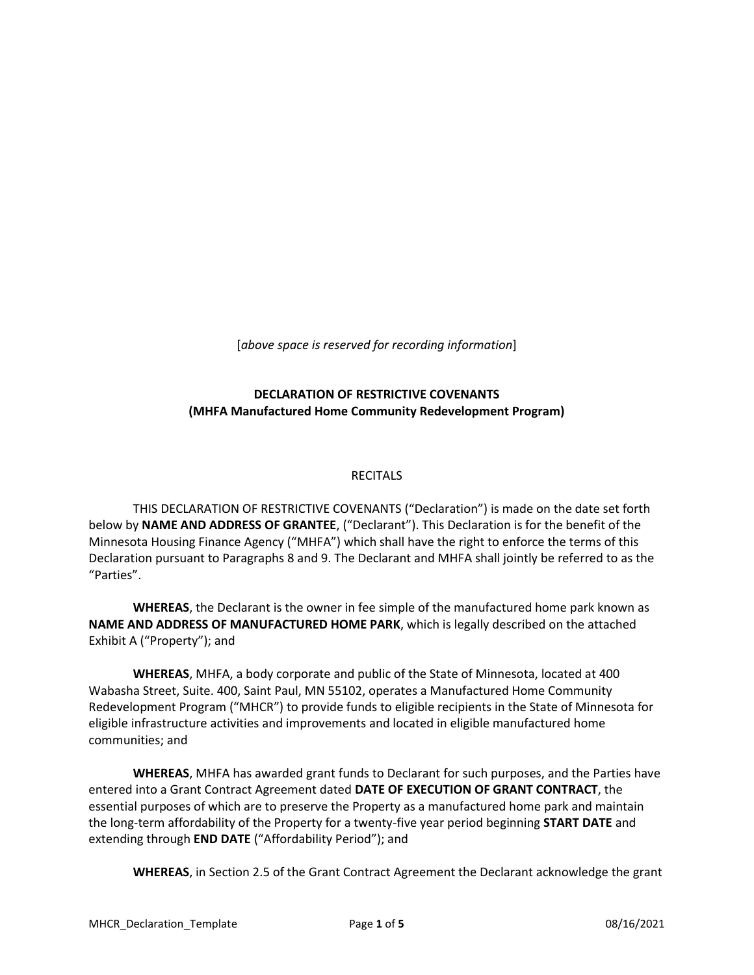[*above space is reserved for recording information*]

## **DECLARATION OF RESTRICTIVE COVENANTS (MHFA Manufactured Home Community Redevelopment Program)**

## RECITALS

THIS DECLARATION OF RESTRICTIVE COVENANTS ("Declaration") is made on the date set forth below by **NAME AND ADDRESS OF GRANTEE**, ("Declarant"). This Declaration is for the benefit of the Minnesota Housing Finance Agency ("MHFA") which shall have the right to enforce the terms of this Declaration pursuant to Paragraphs 8 and 9. The Declarant and MHFA shall jointly be referred to as the "Parties".

**WHEREAS**, the Declarant is the owner in fee simple of the manufactured home park known as **NAME AND ADDRESS OF MANUFACTURED HOME PARK**, which is legally described on the attached Exhibit A ("Property"); and

**WHEREAS**, MHFA, a body corporate and public of the State of Minnesota, located at 400 Wabasha Street, Suite. 400, Saint Paul, MN 55102, operates a Manufactured Home Community Redevelopment Program ("MHCR") to provide funds to eligible recipients in the State of Minnesota for eligible infrastructure activities and improvements and located in eligible manufactured home communities; and

**WHEREAS**, MHFA has awarded grant funds to Declarant for such purposes, and the Parties have entered into a Grant Contract Agreement dated **DATE OF EXECUTION OF GRANT CONTRACT**, the essential purposes of which are to preserve the Property as a manufactured home park and maintain the long-term affordability of the Property for a twenty-five year period beginning **START DATE** and extending through **END DATE** ("Affordability Period"); and

**WHEREAS**, in Section 2.5 of the Grant Contract Agreement the Declarant acknowledge the grant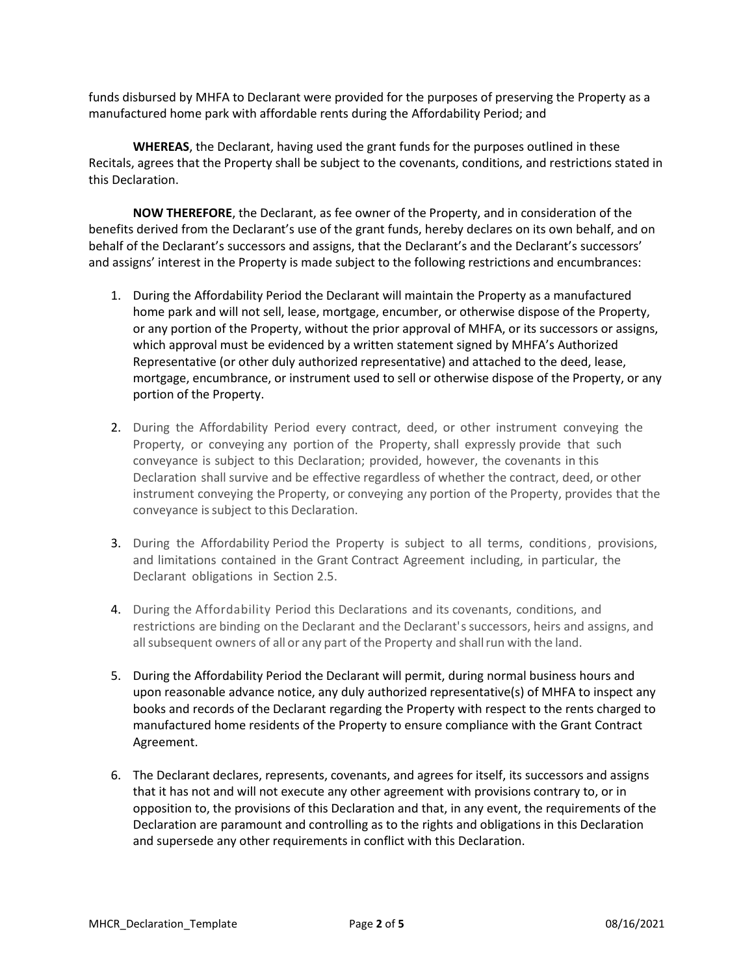funds disbursed by MHFA to Declarant were provided for the purposes of preserving the Property as a manufactured home park with affordable rents during the Affordability Period; and

**WHEREAS**, the Declarant, having used the grant funds for the purposes outlined in these Recitals, agrees that the Property shall be subject to the covenants, conditions, and restrictions stated in this Declaration.

**NOW THEREFORE**, the Declarant, as fee owner of the Property, and in consideration of the benefits derived from the Declarant's use of the grant funds, hereby declares on its own behalf, and on behalf of the Declarant's successors and assigns, that the Declarant's and the Declarant's successors' and assigns' interest in the Property is made subject to the following restrictions and encumbrances:

- 1. During the Affordability Period the Declarant will maintain the Property as a manufactured home park and will not sell, lease, mortgage, encumber, or otherwise dispose of the Property, or any portion of the Property, without the prior approval of MHFA, or its successors or assigns, which approval must be evidenced by a written statement signed by MHFA's Authorized Representative (or other duly authorized representative) and attached to the deed, lease, mortgage, encumbrance, or instrument used to sell or otherwise dispose of the Property, or any portion of the Property.
- 2. During the Affordability Period every contract, deed, or other instrument conveying the Property, or conveying any portion of the Property, shall expressly provide that such conveyance is subject to this Declaration; provided, however, the covenants in this Declaration shall survive and be effective regardless of whether the contract, deed, or other instrument conveying the Property, or conveying any portion of the Property, provides that the conveyance is subject to this Declaration.
- 3. During the Affordability Period the Property is subject to all terms, conditions, provisions, and limitations contained in the Grant Contract Agreement including, in particular, the Declarant obligations in Section 2.5.
- 4. During the Affordability Period this Declarations and its covenants, conditions, and restrictions are binding on the Declarant and the Declarant's successors, heirs and assigns, and all subsequent owners of all or any part of the Property and shall run with the land.
- 5. During the Affordability Period the Declarant will permit, during normal business hours and upon reasonable advance notice, any duly authorized representative(s) of MHFA to inspect any books and records of the Declarant regarding the Property with respect to the rents charged to manufactured home residents of the Property to ensure compliance with the Grant Contract Agreement.
- 6. The Declarant declares, represents, covenants, and agrees for itself, its successors and assigns that it has not and will not execute any other agreement with provisions contrary to, or in opposition to, the provisions of this Declaration and that, in any event, the requirements of the Declaration are paramount and controlling as to the rights and obligations in this Declaration and supersede any other requirements in conflict with this Declaration.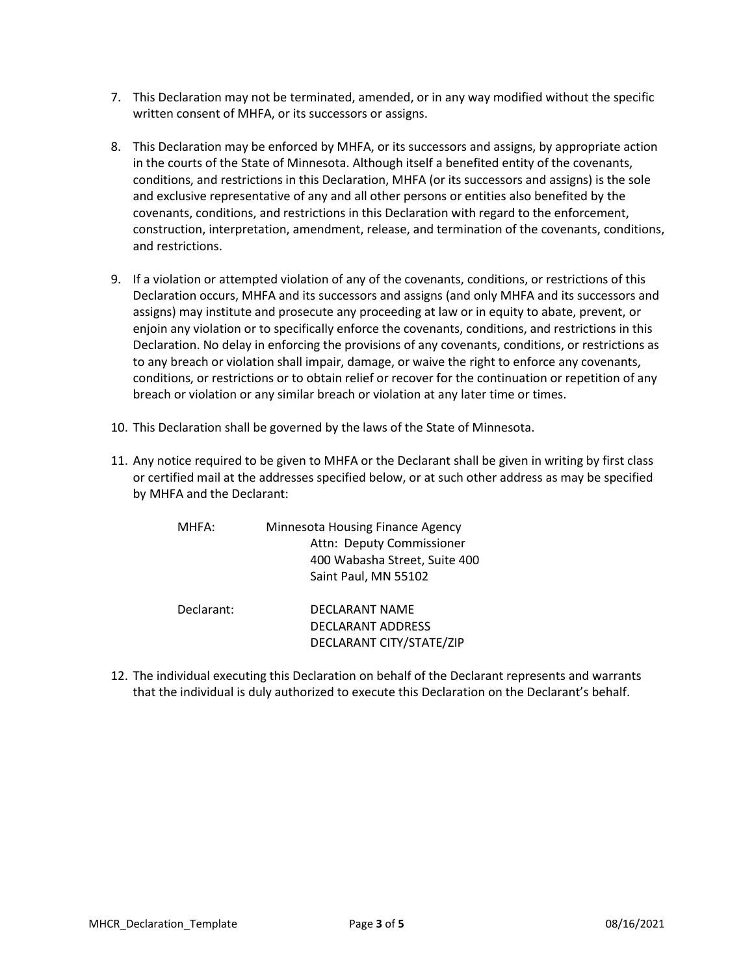- 7. This Declaration may not be terminated, amended, or in any way modified without the specific written consent of MHFA, or its successors or assigns.
- 8. This Declaration may be enforced by MHFA, or its successors and assigns, by appropriate action in the courts of the State of Minnesota. Although itself a benefited entity of the covenants, conditions, and restrictions in this Declaration, MHFA (or its successors and assigns) is the sole and exclusive representative of any and all other persons or entities also benefited by the covenants, conditions, and restrictions in this Declaration with regard to the enforcement, construction, interpretation, amendment, release, and termination of the covenants, conditions, and restrictions.
- 9. If a violation or attempted violation of any of the covenants, conditions, or restrictions of this Declaration occurs, MHFA and its successors and assigns (and only MHFA and its successors and assigns) may institute and prosecute any proceeding at law or in equity to abate, prevent, or enjoin any violation or to specifically enforce the covenants, conditions, and restrictions in this Declaration. No delay in enforcing the provisions of any covenants, conditions, or restrictions as to any breach or violation shall impair, damage, or waive the right to enforce any covenants, conditions, or restrictions or to obtain relief or recover for the continuation or repetition of any breach or violation or any similar breach or violation at any later time or times.
- 10. This Declaration shall be governed by the laws of the State of Minnesota.
- 11. Any notice required to be given to MHFA or the Declarant shall be given in writing by first class or certified mail at the addresses specified below, or at such other address as may be specified by MHFA and the Declarant:

| MHFA:      | Minnesota Housing Finance Agency<br>Attn: Deputy Commissioner<br>400 Wabasha Street, Suite 400<br>Saint Paul, MN 55102 |
|------------|------------------------------------------------------------------------------------------------------------------------|
| Declarant: | DECLARANT NAME<br><b>DECLARANT ADDRESS</b><br>DECLARANT CITY/STATE/ZIP                                                 |

12. The individual executing this Declaration on behalf of the Declarant represents and warrants that the individual is duly authorized to execute this Declaration on the Declarant's behalf.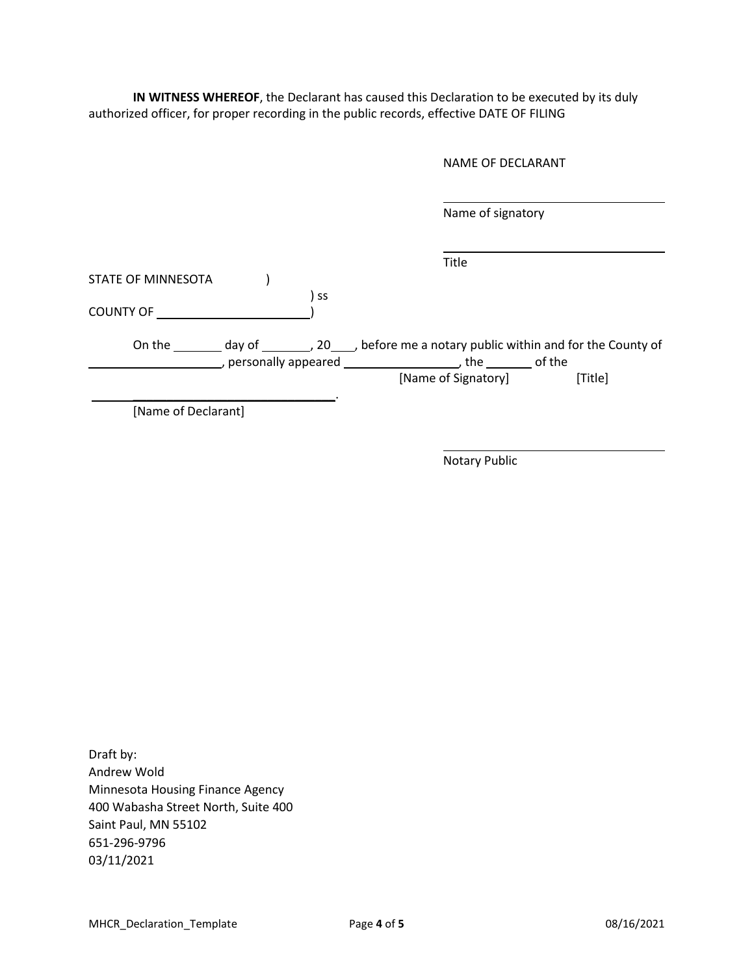**IN WITNESS WHEREOF**, the Declarant has caused this Declaration to be executed by its duly authorized officer, for proper recording in the public records, effective DATE OF FILING

Name of signatory

|                    |                     |           | Title                                                                                  |         |
|--------------------|---------------------|-----------|----------------------------------------------------------------------------------------|---------|
| STATE OF MINNESOTA |                     |           |                                                                                        |         |
|                    |                     | <b>SS</b> |                                                                                        |         |
| <b>COUNTY OF</b>   |                     |           |                                                                                        |         |
|                    |                     |           |                                                                                        |         |
| On the             |                     |           | day of $\_\_\_\_$ , 20 $\_\_\_$ before me a notary public within and for the County of |         |
|                    | personally appeared |           | the                                                                                    | of the  |
|                    |                     |           | [Name of Signatory]                                                                    | [Title] |
|                    |                     |           |                                                                                        |         |

[Name of Declarant]

Notary Public

Draft by: Andrew Wold Minnesota Housing Finance Agency 400 Wabasha Street North, Suite 400 Saint Paul, MN 55102 651-296-9796 03/11/2021